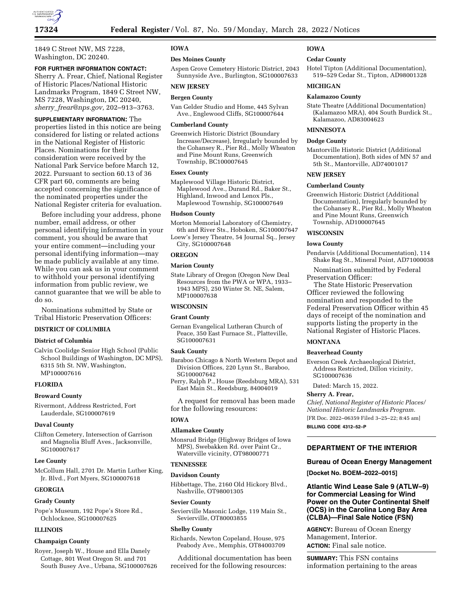

1849 C Street NW, MS 7228, Washington, DC 20240.

#### **FOR FURTHER INFORMATION CONTACT:**

Sherry A. Frear, Chief, National Register of Historic Places/National Historic Landmarks Program, 1849 C Street NW, MS 7228, Washington, DC 20240, *sherry*\_*[frear@nps.gov,](mailto:sherry_frear@nps.gov)* 202–913–3763.

#### **SUPPLEMENTARY INFORMATION:** The

properties listed in this notice are being considered for listing or related actions in the National Register of Historic Places. Nominations for their consideration were received by the National Park Service before March 12, 2022. Pursuant to section 60.13 of 36 CFR part 60, comments are being accepted concerning the significance of the nominated properties under the National Register criteria for evaluation.

Before including your address, phone number, email address, or other personal identifying information in your comment, you should be aware that your entire comment—including your personal identifying information—may be made publicly available at any time. While you can ask us in your comment to withhold your personal identifying information from public review, we cannot guarantee that we will be able to do so.

Nominations submitted by State or Tribal Historic Preservation Officers:

# **DISTRICT OF COLUMBIA**

#### **District of Columbia**

Calvin Coolidge Senior High School (Public School Buildings of Washington, DC MPS), 6315 5th St. NW, Washington, MP100007616

# **FLORIDA**

#### **Broward County**

Rivermont, Address Restricted, Fort Lauderdale, SG100007619

#### **Duval County**

Clifton Cemetery, Intersection of Garrison and Magnolia Bluff Aves., Jacksonville, SG100007617

#### **Lee County**

McCollum Hall, 2701 Dr. Martin Luther King, Jr. Blvd., Fort Myers, SG100007618

# **GEORGIA**

#### **Grady County**

Pope's Museum, 192 Pope's Store Rd., Ochlocknee, SG100007625

# **ILLINOIS**

#### **Champaign County**

Royer, Joseph W., House and Ella Danely Cottage, 801 West Oregon St. and 701 South Busey Ave., Urbana, SG100007626

#### **IOWA**

#### **Des Moines County**

Aspen Grove Cemetery Historic District, 2043 Sunnyside Ave., Burlington, SG100007633

# **NEW JERSEY**

# **Bergen County**

Van Gelder Studio and Home, 445 Sylvan Ave., Englewood Cliffs, SG100007644

### **Cumberland County**

Greenwich Historic District (Boundary Increase/Decrease), Irregularly bounded by the Cohansey R., Pier Rd., Molly Wheaton and Pine Mount Runs, Greenwich Township, BC100007645

## **Essex County**

Maplewood Village Historic District, Maplewood Ave., Durand Rd., Baker St., Highland, Inwood and Lenox Pls., Maplewood Township, SG100007649

#### **Hudson County**

Morton Memorial Laboratory of Chemistry,

6th and River Sts., Hoboken, SG100007647 Loew's Jersey Theatre, 54 Journal Sq., Jersey City, SG100007648

**OREGON** 

# **Marion County**

State Library of Oregon (Oregon New Deal Resources from the PWA or WPA, 1933– 1943 MPS), 250 Winter St. NE, Salem, MP100007638

#### **WISCONSIN**

#### **Grant County**

Gernan Evangelical Lutheran Church of Peace, 350 East Furnace St., Platteville, SG100007631

#### **Sauk County**

Baraboo Chicago & North Western Depot and Division Offices, 220 Lynn St., Baraboo, SG100007642

Perry, Ralph P., House (Reedsburg MRA), 531 East Main St., Reedsburg, 84004019

A request for removal has been made for the following resources:

# **IOWA**

# **Allamakee County**

Monsrud Bridge (Highway Bridges of Iowa MPS), Swebakken Rd. over Paint Cr., Waterville vicinity, OT98000771

#### **TENNESSEE**

#### **Davidson County**

Hibbettage, The, 2160 Old Hickory Blvd., Nashville, OT98001305

#### **Sevier County**

Sevierville Masonic Lodge, 119 Main St., Sevierville, OT80003855

#### **Shelby County**

Richards, Newton Copeland, House, 975 Peabody Ave., Memphis, OT84003709

Additional documentation has been received for the following resources:

#### **IOWA**

#### **Cedar County**

Hotel Tipton (Additional Documentation), 519–529 Cedar St., Tipton, AD98001328

#### **MICHIGAN**

#### **Kalamazoo County**

State Theatre (Additional Documentation) (Kalamazoo MRA), 404 South Burdick St., Kalamazoo, AD83004623

# **MINNESOTA**

#### **Dodge County**

Mantorville Historic District (Additional Documentation), Both sides of MN 57 and 5th St., Mantorville, AD74001017

#### **NEW JERSEY**

#### **Cumberland County**

Greenwich Historic District (Additional Documentation), Irregularly bounded by the Cohansey R., Pier Rd., Molly Wheaton and Pine Mount Runs, Greenwich Township, AD100007645

# **WISCONSIN**

#### **Iowa County**

Pendarvis (Additional Documentation), 114 Shake Rag St., Mineral Point, AD71000038

Nomination submitted by Federal Preservation Officer:

The State Historic Preservation Officer reviewed the following nomination and responded to the Federal Preservation Officer within 45 days of receipt of the nomination and supports listing the property in the National Register of Historic Places.

#### **MONTANA**

#### **Beaverhead County**

Everson Creek Archaeological District, Address Restricted, Dillon vicinity, SG100007636

Dated: March 15, 2022.

#### **Sherry A. Frear,**

*Chief, National Register of Historic Places/ National Historic Landmarks Program.*  [FR Doc. 2022–06359 Filed 3–25–22; 8:45 am] **BILLING CODE 4312–52–P** 

# **DEPARTMENT OF THE INTERIOR**

#### **Bureau of Ocean Energy Management**

**[Docket No. BOEM–2022–0015]** 

# **Atlantic Wind Lease Sale 9 (ATLW–9) for Commercial Leasing for Wind Power on the Outer Continental Shelf (OCS) in the Carolina Long Bay Area (CLBA)—Final Sale Notice (FSN)**

**AGENCY:** Bureau of Ocean Energy Management, Interior. **ACTION:** Final sale notice.

**SUMMARY:** This FSN contains information pertaining to the areas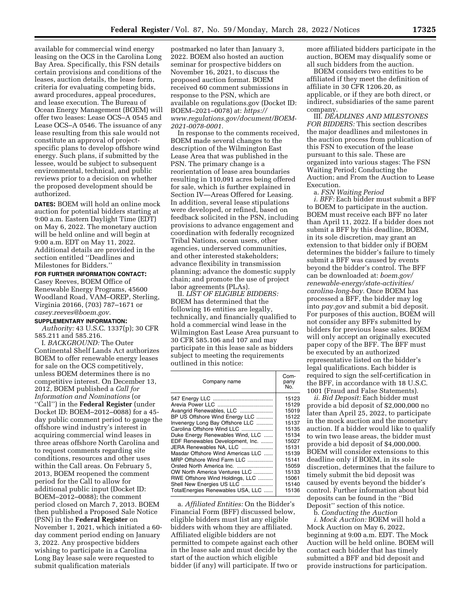available for commercial wind energy leasing on the OCS in the Carolina Long Bay Area. Specifically, this FSN details certain provisions and conditions of the leases, auction details, the lease form, criteria for evaluating competing bids, award procedures, appeal procedures, and lease execution. The Bureau of Ocean Energy Management (BOEM) will offer two leases: Lease OCS–A 0545 and Lease OCS–A 0546. The issuance of any lease resulting from this sale would not constitute an approval of projectspecific plans to develop offshore wind energy. Such plans, if submitted by the lessee, would be subject to subsequent environmental, technical, and public reviews prior to a decision on whether the proposed development should be authorized.

**DATES:** BOEM will hold an online mock auction for potential bidders starting at 9:00 a.m. Eastern Daylight Time (EDT) on May 6, 2022. The monetary auction will be held online and will begin at 9:00 a.m. EDT on May 11, 2022. Additional details are provided in the section entitled ''Deadlines and Milestones for Bidders.''

#### **FOR FURTHER INFORMATION CONTACT:**

Casey Reeves, BOEM Office of Renewable Energy Programs, 45600 Woodland Road, VAM–OREP, Sterling, Virginia 20166, (703) 787–1671 or *[casey.reeves@boem.gov.](mailto:casey.reeves@boem.gov)* 

#### **SUPPLEMENTARY INFORMATION:**

*Authority:* 43 U.S.C. 1337(p); 30 CFR 585.211 and 585.216.

I. *BACKGROUND:* The Outer Continental Shelf Lands Act authorizes BOEM to offer renewable energy leases for sale on the OCS competitively, unless BOEM determines there is no competitive interest. On December 13, 2012, BOEM published a *Call for Information and Nominations* (or ''Call'') in the **Federal Register** (under Docket ID: BOEM–2012–0088) for a 45 day public comment period to gauge the offshore wind industry's interest in acquiring commercial wind leases in three areas offshore North Carolina and to request comments regarding site conditions, resources and other uses within the Call areas. On February 5, 2013, BOEM reopened the comment period for the Call to allow for additional public input (Docket ID: BOEM–2012–0088); the comment period closed on March 7, 2013. BOEM then published a Proposed Sale Notice (PSN) in the **Federal Register** on November 1, 2021, which initiated a 60 day comment period ending on January 3, 2022. Any prospective bidders wishing to participate in a Carolina Long Bay lease sale were requested to submit qualification materials

postmarked no later than January 3, 2022. BOEM also hosted an auction seminar for prospective bidders on November 16, 2021, to discuss the proposed auction format. BOEM received 60 comment submissions in response to the PSN, which are available on regulations.gov (Docket ID: BOEM–2021–0078) at: *[https://](https://www.regulations.gov/document/BOEM-2021-0078-0001) [www.regulations.gov/document/BOEM-](https://www.regulations.gov/document/BOEM-2021-0078-0001)[2021-0078-0001.](https://www.regulations.gov/document/BOEM-2021-0078-0001)* 

In response to the comments received, BOEM made several changes to the description of the Wilmington East Lease Area that was published in the PSN. The primary change is a reorientation of lease area boundaries resulting in 110,091 acres being offered for sale, which is further explained in Section IV—Areas Offered for Leasing. In addition, several lease stipulations were developed, or refined, based on feedback solicited in the PSN, including provisions to advance engagement and coordination with federally recognized Tribal Nations, ocean users, other agencies, underserved communities, and other interested stakeholders; advance flexibility in transmission planning; advance the domestic supply chain; and promote the use of project labor agreements (PLAs).

II. *LIST OF ELIGIBLE BIDDERS:*  BOEM has determined that the following 16 entities are legally, technically, and financially qualified to hold a commercial wind lease in the Wilmington East Lease Area pursuant to 30 CFR 585.106 and 107 and may participate in this lease sale as bidders subject to meeting the requirements outlined in this notice:

| Company name                                                                                                                                                                                                                                                                                                                                                                                                                                                         | Com-<br>pany<br>No.                                                                                                                          |
|----------------------------------------------------------------------------------------------------------------------------------------------------------------------------------------------------------------------------------------------------------------------------------------------------------------------------------------------------------------------------------------------------------------------------------------------------------------------|----------------------------------------------------------------------------------------------------------------------------------------------|
| Avangrid Renewables, LLC<br>BP US Offshore Wind Energy LLC<br>Invenergy Long Bay Offshore LLC<br>Carolina Offshore Wind LLC<br>Duke Energy Renewables Wind, LLC<br>EDF Renewables Development, Inc.<br>JERA Renewables NA, LLC<br>Masdar Offshore Wind Americas LLC<br>MRP Offshore Wind Farm LLC<br>Orsted North America Inc.<br>OW North America Ventures LLC<br>RWE Offshore Wind Holdings, LLC<br>Shell New Energies US LLC<br>TotalEnergies Renewables USA, LLC | 15123<br>15129<br>15019<br>15122<br>15137<br>15135<br>15134<br>15027<br>15131<br>15139<br>15141<br>15059<br>15133<br>15061<br>15140<br>15136 |
|                                                                                                                                                                                                                                                                                                                                                                                                                                                                      |                                                                                                                                              |

a. *Affiliated Entities:* On the Bidder's Financial Form (BFF) discussed below, eligible bidders must list any eligible bidders with whom they are affiliated. Affiliated eligible bidders are not permitted to compete against each other in the lease sale and must decide by the start of the auction which eligible bidder (if any) will participate. If two or more affiliated bidders participate in the auction, BOEM may disqualify some or all such bidders from the auction.

BOEM considers two entities to be affiliated if they meet the definition of affiliate in 30 CFR 1206.20, as applicable, or if they are both direct, or indirect, subsidiaries of the same parent company.

III. *DEADLINES AND MILESTONES FOR BIDDERS:* This section describes the major deadlines and milestones in the auction process from publication of this FSN to execution of the lease pursuant to this sale. These are organized into various stages: The FSN Waiting Period; Conducting the Auction; and From the Auction to Lease Execution.

a. *FSN Waiting Period* 

*i. BFF:* Each bidder must submit a BFF to BOEM to participate in the auction. BOEM must receive each BFF no later than April 11, 2022. If a bidder does not submit a BFF by this deadline, BOEM, in its sole discretion, may grant an extension to that bidder only if BOEM determines the bidder's failure to timely submit a BFF was caused by events beyond the bidder's control. The BFF can be downloaded at: *boem.gov/ renewable-energy/state-activities/ carolina-long-bay.* Once BOEM has processed a BFF, the bidder may log into *pay.gov* and submit a bid deposit. For purposes of this auction, BOEM will not consider any BFFs submitted by bidders for previous lease sales. BOEM will only accept an originally executed paper copy of the BFF. The BFF must be executed by an authorized representative listed on the bidder's legal qualifications. Each bidder is required to sign the self-certification in the BFF, in accordance with 18 U.S.C. 1001 (Fraud and False Statements).

*ii. Bid Deposit:* Each bidder must provide a bid deposit of \$2,000,000 no later than April 25, 2022, to participate in the mock auction and the monetary auction. If a bidder would like to qualify to win two lease areas, the bidder must provide a bid deposit of \$4,000,000. BOEM will consider extensions to this deadline only if BOEM, in its sole discretion, determines that the failure to timely submit the bid deposit was caused by events beyond the bidder's control. Further information about bid deposits can be found in the ''Bid Deposit'' section of this notice.

b. *Conducting the Auction* 

*i. Mock Auction:* BOEM will hold a Mock Auction on May 6, 2022, beginning at 9:00 a.m. EDT. The Mock Auction will be held online. BOEM will contact each bidder that has timely submitted a BFF and bid deposit and provide instructions for participation.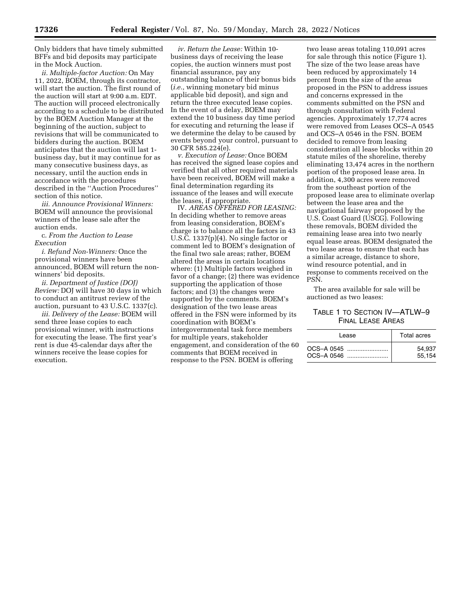Only bidders that have timely submitted BFFs and bid deposits may participate in the Mock Auction.

*ii. Multiple-factor Auction:* On May 11, 2022, BOEM, through its contractor, will start the auction. The first round of the auction will start at 9:00 a.m. EDT. The auction will proceed electronically according to a schedule to be distributed by the BOEM Auction Manager at the beginning of the auction, subject to revisions that will be communicated to bidders during the auction. BOEM anticipates that the auction will last 1 business day, but it may continue for as many consecutive business days, as necessary, until the auction ends in accordance with the procedures described in the ''Auction Procedures'' section of this notice.

*iii. Announce Provisional Winners:*  BOEM will announce the provisional winners of the lease sale after the auction ends.

c. *From the Auction to Lease Execution* 

*i. Refund Non-Winners:* Once the provisional winners have been announced, BOEM will return the nonwinners' bid deposits.

*ii. Department of Justice (DOJ) Review:* DOJ will have 30 days in which to conduct an antitrust review of the auction, pursuant to 43 U.S.C. 1337(c).

*iii. Delivery of the Lease:* BOEM will send three lease copies to each provisional winner, with instructions for executing the lease. The first year's rent is due 45-calendar days after the winners receive the lease copies for execution.

*iv. Return the Lease:* Within 10 business days of receiving the lease copies, the auction winners must post financial assurance, pay any outstanding balance of their bonus bids (*i.e.,* winning monetary bid minus applicable bid deposit), and sign and return the three executed lease copies. In the event of a delay, BOEM may extend the 10 business day time period for executing and returning the lease if we determine the delay to be caused by events beyond your control, pursuant to 30 CFR 585.224(e).

*v. Execution of Lease:* Once BOEM has received the signed lease copies and verified that all other required materials have been received, BOEM will make a final determination regarding its issuance of the leases and will execute the leases, if appropriate.

IV. *AREAS OFFERED FOR LEASING:*  In deciding whether to remove areas from leasing consideration, BOEM's charge is to balance all the factors in 43 U.S.C. 1337(p)(4). No single factor or comment led to BOEM's designation of the final two sale areas; rather, BOEM altered the areas in certain locations where: (1) Multiple factors weighed in favor of a change; (2) there was evidence supporting the application of those factors; and (3) the changes were supported by the comments. BOEM's designation of the two lease areas offered in the FSN were informed by its coordination with BOEM's intergovernmental task force members for multiple years, stakeholder engagement, and consideration of the 60 comments that BOEM received in response to the PSN. BOEM is offering

two lease areas totaling 110,091 acres for sale through this notice (Figure 1). The size of the two lease areas have been reduced by approximately 14 percent from the size of the areas proposed in the PSN to address issues and concerns expressed in the comments submitted on the PSN and through consultation with Federal agencies. Approximately 17,774 acres were removed from Leases OCS–A 0545 and OCS–A 0546 in the FSN. BOEM decided to remove from leasing consideration all lease blocks within 20 statute miles of the shoreline, thereby eliminating 13,474 acres in the northern portion of the proposed lease area. In addition, 4,300 acres were removed from the southeast portion of the proposed lease area to eliminate overlap between the lease area and the navigational fairway proposed by the U.S. Coast Guard (USCG). Following these removals, BOEM divided the remaining lease area into two nearly equal lease areas. BOEM designated the two lease areas to ensure that each has a similar acreage, distance to shore, wind resource potential, and in response to comments received on the PSN.

The area available for sale will be auctioned as two leases:

# TABLE 1 TO SECTION IV—ATLW–9 FINAL LEASE AREAS

| Lease      | Total acres |
|------------|-------------|
| OCS-A 0545 | 54.937      |
| OCS-A 0546 | 55.154      |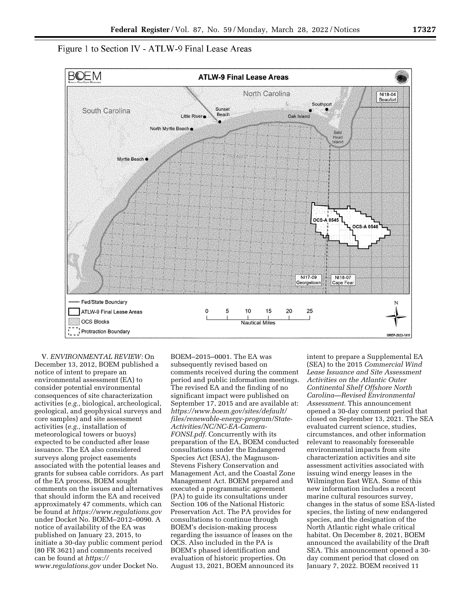Figure 1 to Section IV - ATLW-9 Final Lease Areas



V. *ENVIRONMENTAL REVIEW:* On December 13, 2012, BOEM published a notice of intent to prepare an environmental assessment (EA) to consider potential environmental consequences of site characterization activities (*e.g.,* biological, archeological, geological, and geophysical surveys and core samples) and site assessment activities (*e.g.,* installation of meteorological towers or buoys) expected to be conducted after lease issuance. The EA also considered surveys along project easements associated with the potential leases and grants for subsea cable corridors. As part of the EA process, BOEM sought comments on the issues and alternatives that should inform the EA and received approximately 47 comments, which can be found at *<https://www.regulations.gov>*  under Docket No. BOEM–2012–0090. A notice of availability of the EA was published on January 23, 2015, to initiate a 30-day public comment period (80 FR 3621) and comments received can be found at *[https://](https://www.regulations.gov) [www.regulations.gov](https://www.regulations.gov)* under Docket No.

BOEM–2015–0001. The EA was subsequently revised based on comments received during the comment period and public information meetings. The revised EA and the finding of no significant impact were published on September 17, 2015 and are available at: *[https://www.boem.gov/sites/default/](https://www.boem.gov/sites/default/files/renewable-energy-program/State-Activities/NC/NC-EA-Camera-FONSI.pdf)  [files/renewable-energy-program/State-](https://www.boem.gov/sites/default/files/renewable-energy-program/State-Activities/NC/NC-EA-Camera-FONSI.pdf)[Activities/NC/NC-EA-Camera-](https://www.boem.gov/sites/default/files/renewable-energy-program/State-Activities/NC/NC-EA-Camera-FONSI.pdf)[FONSI.pdf.](https://www.boem.gov/sites/default/files/renewable-energy-program/State-Activities/NC/NC-EA-Camera-FONSI.pdf)* Concurrently with its preparation of the EA, BOEM conducted consultations under the Endangered Species Act (ESA), the Magnuson-Stevens Fishery Conservation and Management Act, and the Coastal Zone Management Act. BOEM prepared and executed a programmatic agreement (PA) to guide its consultations under Section 106 of the National Historic Preservation Act. The PA provides for consultations to continue through BOEM's decision-making process regarding the issuance of leases on the OCS. Also included in the PA is BOEM's phased identification and evaluation of historic properties. On August 13, 2021, BOEM announced its

intent to prepare a Supplemental EA (SEA) to the 2015 *Commercial Wind Lease Issuance and Site Assessment Activities on the Atlantic Outer Continental Shelf Offshore North Carolina—Revised Environmental Assessment.* This announcement opened a 30-day comment period that closed on September 13, 2021. The SEA evaluated current science, studies, circumstances, and other information relevant to reasonably foreseeable environmental impacts from site characterization activities and site assessment activities associated with issuing wind energy leases in the Wilmington East WEA. Some of this new information includes a recent marine cultural resources survey, changes in the status of some ESA-listed species, the listing of new endangered species, and the designation of the North Atlantic right whale critical habitat. On December 8, 2021, BOEM announced the availability of the Draft SEA. This announcement opened a 30 day comment period that closed on January 7, 2022. BOEM received 11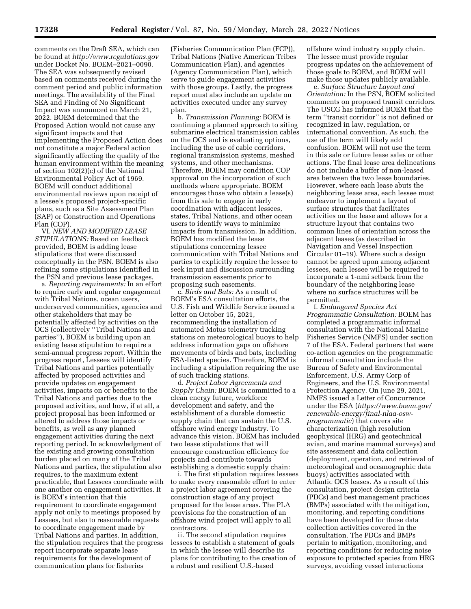comments on the Draft SEA, which can be found at *<http://www.regulations.gov>*  under Docket No. BOEM–2021–0090. The SEA was subsequently revised based on comments received during the comment period and public information meetings. The availability of the Final SEA and Finding of No Significant Impact was announced on March 21, 2022. BOEM determined that the Proposed Action would not cause any significant impacts and that implementing the Proposed Action does not constitute a major Federal action significantly affecting the quality of the human environment within the meaning of section 102(2)(c) of the National Environmental Policy Act of 1969. BOEM will conduct additional environmental reviews upon receipt of a lessee's proposed project-specific plans, such as a Site Assessment Plan (SAP) or Construction and Operations Plan (COP).

VI. *NEW AND MODIFIED LEASE STIPULATIONS:* Based on feedback provided, BOEM is adding lease stipulations that were discussed conceptually in the PSN. BOEM is also refining some stipulations identified in the PSN and previous lease packages.

a. *Reporting requirements:* In an effort to require early and regular engagement with Tribal Nations, ocean users, underserved communities, agencies and other stakeholders that may be potentially affected by activities on the OCS (collectively ''Tribal Nations and parties''), BOEM is building upon an existing lease stipulation to require a semi-annual progress report. Within the progress report, Lessees will identify Tribal Nations and parties potentially affected by proposed activities and provide updates on engagement activities, impacts on or benefits to the Tribal Nations and parties due to the proposed activities, and how, if at all, a project proposal has been informed or altered to address those impacts or benefits, as well as any planned engagement activities during the next reporting period. In acknowledgment of the existing and growing consultation burden placed on many of the Tribal Nations and parties, the stipulation also requires, to the maximum extent practicable, that Lessees coordinate with one another on engagement activities. It is BOEM's intention that this requirement to coordinate engagement apply not only to meetings proposed by Lessees, but also to reasonable requests to coordinate engagement made by Tribal Nations and parties. In addition, the stipulation requires that the progress report incorporate separate lease requirements for the development of communication plans for fisheries

(Fisheries Communication Plan (FCP)), Tribal Nations (Native American Tribes Communication Plan), and agencies (Agency Communication Plan), which serve to guide engagement activities with those groups. Lastly, the progress report must also include an update on activities executed under any survey plan.

b. *Transmission Planning:* BOEM is continuing a planned approach to siting submarine electrical transmission cables on the OCS and is evaluating options, including the use of cable corridors, regional transmission systems, meshed systems, and other mechanisms. Therefore, BOEM may condition COP approval on the incorporation of such methods where appropriate. BOEM encourages those who obtain a lease(s) from this sale to engage in early coordination with adjacent lessees, states, Tribal Nations, and other ocean users to identify ways to minimize impacts from transmission. In addition, BOEM has modified the lease stipulations concerning lessee communication with Tribal Nations and parties to explicitly require the lessee to seek input and discussion surrounding transmission easements prior to proposing such easements.

c. *Birds and Bats:* As a result of BOEM's ESA consultation efforts, the U.S. Fish and Wildlife Service issued a letter on October 15, 2021, recommending the installation of automated Motus telemetry tracking stations on meteorological buoys to help address information gaps on offshore movements of birds and bats, including ESA-listed species. Therefore, BOEM is including a stipulation requiring the use of such tracking stations.

d. *Project Labor Agreements and Supply Chain:* BOEM is committed to a clean energy future, workforce development and safety, and the establishment of a durable domestic supply chain that can sustain the U.S. offshore wind energy industry. To advance this vision, BOEM has included two lease stipulations that will encourage construction efficiency for projects and contribute towards establishing a domestic supply chain:

i. The first stipulation requires lessees to make every reasonable effort to enter a project labor agreement covering the construction stage of any project proposed for the lease areas. The PLA provisions for the construction of an offshore wind project will apply to all contractors.

ii. The second stipulation requires lessees to establish a statement of goals in which the lessee will describe its plans for contributing to the creation of a robust and resilient U.S.-based

offshore wind industry supply chain. The lessee must provide regular progress updates on the achievement of those goals to BOEM, and BOEM will make those updates publicly available.

e. *Surface Structure Layout and Orientation:* In the PSN, BOEM solicited comments on proposed transit corridors. The USCG has informed BOEM that the term ''transit corridor'' is not defined or recognized in law, regulation, or international convention. As such, the use of the term will likely add confusion. BOEM will not use the term in this sale or future lease sales or other actions. The final lease area delineations do not include a buffer of non-leased area between the two lease boundaries. However, where each lease abuts the neighboring lease area, each lessee must endeavor to implement a layout of surface structures that facilitates activities on the lease and allows for a structure layout that contains two common lines of orientation across the adjacent leases (as described in Navigation and Vessel Inspection Circular 01–19). Where such a design cannot be agreed upon among adjacent lessees, each lessee will be required to incorporate a 1-nmi setback from the boundary of the neighboring lease where no surface structures will be permitted.

f. *Endangered Species Act Programmatic Consultation:* BOEM has completed a programmatic informal consultation with the National Marine Fisheries Service (NMFS) under section 7 of the ESA. Federal partners that were co-action agencies on the programmatic informal consultation include the Bureau of Safety and Environmental Enforcement, U.S. Army Corp of Engineers, and the U.S. Environmental Protection Agency. On June 29, 2021, NMFS issued a Letter of Concurrence under the ESA (*[https://www.boem.gov/](https://www.boem.gov/renewable-energy/final-nlaa-osw-programmatic)  [renewable-energy/final-nlaa-osw](https://www.boem.gov/renewable-energy/final-nlaa-osw-programmatic)[programmatic](https://www.boem.gov/renewable-energy/final-nlaa-osw-programmatic)*) that covers site characterization (high resolution geophysical (HRG) and geotechnical avian, and marine mammal surveys) and site assessment and data collection (deployment, operation, and retrieval of meteorological and oceanographic data buoys) activities associated with Atlantic OCS leases. As a result of this consultation, project design criteria (PDCs) and best management practices (BMPs) associated with the mitigation, monitoring, and reporting conditions have been developed for those data collection activities covered in the consultation. The PDCs and BMPs pertain to mitigation, monitoring, and reporting conditions for reducing noise exposure to protected species from HRG surveys, avoiding vessel interactions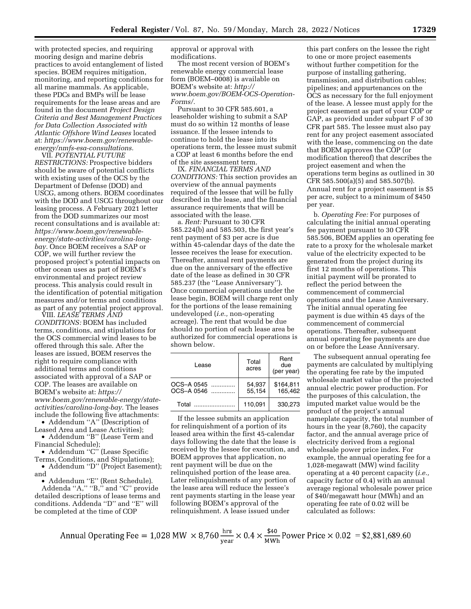with protected species, and requiring mooring design and marine debris practices to avoid entanglement of listed species. BOEM requires mitigation, monitoring, and reporting conditions for all marine mammals. As applicable, these PDCs and BMPs will be lease requirements for the lease areas and are found in the document *Project Design Criteria and Best Management Practices for Data Collection Associated with Atlantic Offshore Wind Leases* located at: *[https://www.boem.gov/renewable](https://www.boem.gov/renewable-energy/nmfs-esa-consultations)[energy/nmfs-esa-consultations.](https://www.boem.gov/renewable-energy/nmfs-esa-consultations)* 

VII. *POTENTIAL FUTURE RESTRICTIONS:* Prospective bidders should be aware of potential conflicts with existing uses of the OCS by the Department of Defense (DOD) and USCG, among others. BOEM coordinates with the DOD and USCG throughout our leasing process. A February 2021 letter from the DOD summarizes our most recent consultations and is available at: *[https://www.boem.gov/renewable](https://www.boem.gov/renewable-energy/state-activities/carolina-long-bay)[energy/state-activities/carolina-long](https://www.boem.gov/renewable-energy/state-activities/carolina-long-bay)[bay.](https://www.boem.gov/renewable-energy/state-activities/carolina-long-bay)* Once BOEM receives a SAP or COP, we will further review the proposed project's potential impacts on other ocean uses as part of BOEM's environmental and project review process. This analysis could result in the identification of potential mitigation measures and/or terms and conditions as part of any potential project approval.

VIII. *LEASE TERMS AND CONDITIONS:* BOEM has included terms, conditions, and stipulations for the OCS commercial wind leases to be offered through this sale. After the leases are issued, BOEM reserves the right to require compliance with additional terms and conditions associated with approval of a SAP or COP. The leases are available on BOEM's website at: *[https://](https://www.boem.gov/renewable-energy/state-activities/carolina-long-bay) [www.boem.gov/renewable-energy/state](https://www.boem.gov/renewable-energy/state-activities/carolina-long-bay)[activities/carolina-long-bay.](https://www.boem.gov/renewable-energy/state-activities/carolina-long-bay)* The leases include the following five attachments:

• Addendum ''A'' (Description of Leased Area and Lease Activities); • Addendum ''B'' (Lease Term and

Financial Schedule); • Addendum ''C'' (Lease Specific

Terms, Conditions, and Stipulations); • Addendum ''D'' (Project Easement);

and • Addendum ''E'' (Rent Schedule).

Addenda "A," "B," and "C" provide detailed descriptions of lease terms and conditions. Addenda ''D'' and ''E'' will be completed at the time of COP

approval or approval with modifications.

The most recent version of BOEM's renewable energy commercial lease form (BOEM–0008) is available on BOEM's website at: *[http://](http://www.boem.gov/BOEM-OCS-Operation-Forms/) [www.boem.gov/BOEM-OCS-Operation-](http://www.boem.gov/BOEM-OCS-Operation-Forms/)[Forms/.](http://www.boem.gov/BOEM-OCS-Operation-Forms/)* 

Pursuant to 30 CFR 585.601, a leaseholder wishing to submit a SAP must do so within 12 months of lease issuance. If the lessee intends to continue to hold the lease into its operations term, the lessee must submit a COP at least 6 months before the end of the site assessment term.

IX. *FINANCIAL TERMS AND CONDITIONS:* This section provides an overview of the annual payments required of the lessee that will be fully described in the lease, and the financial assurance requirements that will be associated with the lease.

a. *Rent:* Pursuant to 30 CFR 585.224(b) and 585.503, the first year's rent payment of \$3 per acre is due within 45-calendar days of the date the lessee receives the lease for execution. Thereafter, annual rent payments are due on the anniversary of the effective date of the lease as defined in 30 CFR 585.237 (the ''Lease Anniversary''). Once commercial operations under the lease begin, BOEM will charge rent only for the portions of the lease remaining undeveloped (*i.e.,* non-operating acreage). The rent that would be due should no portion of each lease area be authorized for commercial operations is shown below.

| Lease                    | Total<br>acres   | Rent<br>due<br>(per year) |
|--------------------------|------------------|---------------------------|
| OCS-A 0545<br>OCS-A 0546 | 54.937<br>55.154 | \$164.811<br>165.462      |
| Total                    | 110.091          | 330.273                   |

If the lessee submits an application for relinquishment of a portion of its leased area within the first 45-calendar days following the date that the lease is received by the lessee for execution, and BOEM approves that application, no rent payment will be due on the relinquished portion of the lease area. Later relinquishments of any portion of the lease area will reduce the lessee's rent payments starting in the lease year following BOEM's approval of the relinquishment. A lease issued under

this part confers on the lessee the right to one or more project easements without further competition for the purpose of installing gathering, transmission, and distribution cables; pipelines; and appurtenances on the OCS as necessary for the full enjoyment of the lease. A lessee must apply for the project easement as part of your COP or GAP, as provided under subpart F of 30 CFR part 585. The lessee must also pay rent for any project easement associated with the lease, commencing on the date that BOEM approves the COP (or modification thereof) that describes the project easement and when the operations term begins as outlined in 30 CFR 585.500(a)(5) and 585.507(b). Annual rent for a project easement is \$5 per acre, subject to a minimum of \$450 per year.

b. *Operating Fee:* For purposes of calculating the initial annual operating fee payment pursuant to 30 CFR 585.506, BOEM applies an operating fee rate to a proxy for the wholesale market value of the electricity expected to be generated from the project during its first 12 months of operations. This initial payment will be prorated to reflect the period between the commencement of commercial operations and the Lease Anniversary. The initial annual operating fee payment is due within 45 days of the commencement of commercial operations. Thereafter, subsequent annual operating fee payments are due on or before the Lease Anniversary.

The subsequent annual operating fee payments are calculated by multiplying the operating fee rate by the imputed wholesale market value of the projected annual electric power production. For the purposes of this calculation, the imputed market value would be the product of the project's annual nameplate capacity, the total number of hours in the year (8,760), the capacity factor, and the annual average price of electricity derived from a regional wholesale power price index. For example, the annual operating fee for a 1,028-megawatt (MW) wind facility operating at a 40 percent capacity (*i.e.,*  capacity factor of 0.4) with an annual average regional wholesale power price of \$40/megawatt hour (MWh) and an operating fee rate of 0.02 will be calculated as follows:

Annual Operating Fee = 1,028 MW  $\times$  8,760  $\frac{\text{hrs}}{\text{year}}$   $\times$  0.4  $\times \frac{$40}{\text{MWh}}$  Power Price  $\times$  0.02 = \$2,881,689.60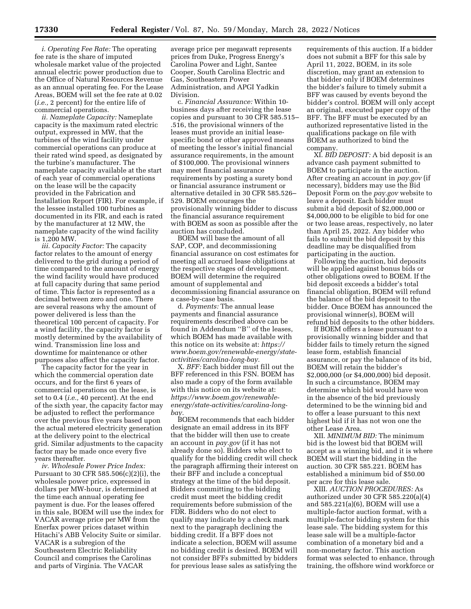*i. Operating Fee Rate:* The operating fee rate is the share of imputed wholesale market value of the projected annual electric power production due to the Office of Natural Resources Revenue as an annual operating fee. For the Lease Areas, BOEM will set the fee rate at 0.02 (*i.e.,* 2 percent) for the entire life of commercial operations.

*ii. Nameplate Capacity:* Nameplate capacity is the maximum rated electric output, expressed in MW, that the turbines of the wind facility under commercial operations can produce at their rated wind speed, as designated by the turbine's manufacturer. The nameplate capacity available at the start of each year of commercial operations on the lease will be the capacity provided in the Fabrication and Installation Report (FIR). For example, if the lessee installed 100 turbines as documented in its FIR, and each is rated by the manufacturer at 12 MW, the nameplate capacity of the wind facility is 1,200 MW.

*iii. Capacity Factor:* The capacity factor relates to the amount of energy delivered to the grid during a period of time compared to the amount of energy the wind facility would have produced at full capacity during that same period of time. This factor is represented as a decimal between zero and one. There are several reasons why the amount of power delivered is less than the theoretical 100 percent of capacity. For a wind facility, the capacity factor is mostly determined by the availability of wind. Transmission line loss and downtime for maintenance or other purposes also affect the capacity factor.

The capacity factor for the year in which the commercial operation date occurs, and for the first 6 years of commercial operations on the lease, is set to 0.4 (*i.e.,* 40 percent). At the end of the sixth year, the capacity factor may be adjusted to reflect the performance over the previous five years based upon the actual metered electricity generation at the delivery point to the electrical grid. Similar adjustments to the capacity factor may be made once every five years thereafter.

*iv. Wholesale Power Price Index:*  Pursuant to 30 CFR 585.506(c)(2)(i), the wholesale power price, expressed in dollars per MW-hour, is determined at the time each annual operating fee payment is due. For the leases offered in this sale, BOEM will use the index for VACAR average price per MW from the Enerfax power prices dataset within Hitachi's ABB Velocity Suite or similar. VACAR is a subregion of the Southeastern Electric Reliability Council and comprises the Carolinas and parts of Virginia. The VACAR

average price per megawatt represents prices from Duke, Progress Energy's Carolina Power and Light, Santee Cooper, South Carolina Electric and Gas, Southeastern Power Administration, and APGI Yadkin Division.

c. *Financial Assurance:* Within 10 business days after receiving the lease copies and pursuant to 30 CFR 585.515– .516, the provisional winners of the leases must provide an initial leasespecific bond or other approved means of meeting the lessor's initial financial assurance requirements, in the amount of \$100,000. The provisional winners may meet financial assurance requirements by posting a surety bond or financial assurance instrument or alternative detailed in 30 CFR 585.526– 529. BOEM encourages the provisionally winning bidder to discuss the financial assurance requirement with BOEM as soon as possible after the auction has concluded.

BOEM will base the amount of all SAP, COP, and decommissioning financial assurance on cost estimates for meeting all accrued lease obligations at the respective stages of development. BOEM will determine the required amount of supplemental and decommissioning financial assurance on a case-by-case basis.

d. *Payments:* The annual lease payments and financial assurance requirements described above can be found in Addendum ''B'' of the leases, which BOEM has made available with this notice on its website at: *[https://](https://www.boem.gov/renewable-energy/state-activities/carolina-long-bay) [www.boem.gov/renewable-energy/state](https://www.boem.gov/renewable-energy/state-activities/carolina-long-bay)[activities/carolina-long-bay.](https://www.boem.gov/renewable-energy/state-activities/carolina-long-bay)* 

X. *BFF:* Each bidder must fill out the BFF referenced in this FSN. BOEM has also made a copy of the form available with this notice on its website at: *[https://www.boem.gov/renewable](https://www.boem.gov/renewable-energy/state-activities/carolina-long-bay)[energy/state-activities/carolina-lon](https://www.boem.gov/renewable-energy/state-activities/carolina-long-bay)g[bay.](https://www.boem.gov/renewable-energy/state-activities/carolina-long-bay)* 

BOEM recommends that each bidder designate an email address in its BFF that the bidder will then use to create an account in *pay.gov* (if it has not already done so). Bidders who elect to qualify for the bidding credit will check the paragraph affirming their interest on their BFF and include a conceptual strategy at the time of the bid deposit. Bidders committing to the bidding credit must meet the bidding credit requirements before submission of the FDR. Bidders who do not elect to qualify may indicate by a check mark next to the paragraph declining the bidding credit. If a BFF does not indicate a selection, BOEM will assume no bidding credit is desired. BOEM will not consider BFFs submitted by bidders for previous lease sales as satisfying the

requirements of this auction. If a bidder does not submit a BFF for this sale by April 11, 2022, BOEM, in its sole discretion, may grant an extension to that bidder only if BOEM determines the bidder's failure to timely submit a BFF was caused by events beyond the bidder's control. BOEM will only accept an original, executed paper copy of the BFF. The BFF must be executed by an authorized representative listed in the qualifications package on file with BOEM as authorized to bind the company.

XI. *BID DEPOSIT:* A bid deposit is an advance cash payment submitted to BOEM to participate in the auction. After creating an account in *pay.gov* (if necessary), bidders may use the Bid Deposit Form on the *pay.gov* website to leave a deposit. Each bidder must submit a bid deposit of \$2,000,000 or \$4,000,000 to be eligible to bid for one or two lease areas, respectively, no later than April 25, 2022. Any bidder who fails to submit the bid deposit by this deadline may be disqualified from participating in the auction.

Following the auction, bid deposits will be applied against bonus bids or other obligations owed to BOEM. If the bid deposit exceeds a bidder's total financial obligation, BOEM will refund the balance of the bid deposit to the bidder. Once BOEM has announced the provisional winner(s), BOEM will refund bid deposits to the other bidders.

If BOEM offers a lease pursuant to a provisionally winning bidder and that bidder fails to timely return the signed lease form, establish financial assurance, or pay the balance of its bid, BOEM will retain the bidder's \$2,000,000 (or \$4,000,000) bid deposit. In such a circumstance, BOEM may determine which bid would have won in the absence of the bid previously determined to be the winning bid and to offer a lease pursuant to this next highest bid if it has not won one the other Lease Area.

XII. *MINIMUM BID:* The minimum bid is the lowest bid that BOEM will accept as a winning bid, and it is where BOEM will start the bidding in the auction. 30 CFR 585.221. BOEM has established a minimum bid of \$50.00 per acre for this lease sale.

XIII. *AUCTION PROCEDURES:* As authorized under 30 CFR 585.220(a)(4) and 585.221(a)(6), BOEM will use a multiple-factor auction format, with a multiple-factor bidding system for this lease sale. The bidding system for this lease sale will be a multiple-factor combination of a monetary bid and a non-monetary factor. This auction format was selected to enhance, through training, the offshore wind workforce or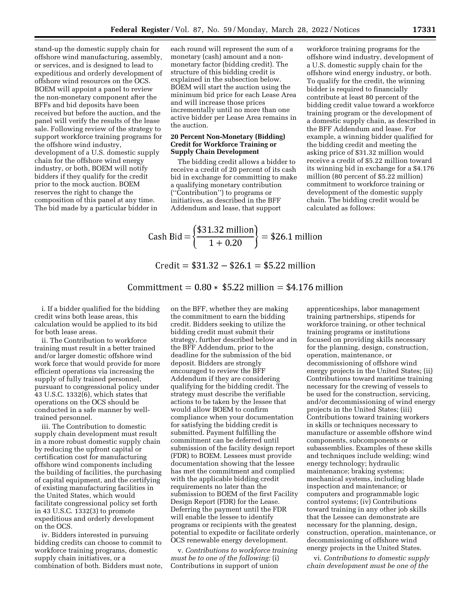stand-up the domestic supply chain for offshore wind manufacturing, assembly, or services, and is designed to lead to expeditious and orderly development of offshore wind resources on the OCS. BOEM will appoint a panel to review the non-monetary component after the BFFs and bid deposits have been received but before the auction, and the panel will verify the results of the lease sale. Following review of the strategy to support workforce training programs for the offshore wind industry, development of a U.S. domestic supply chain for the offshore wind energy industry, or both, BOEM will notify bidders if they qualify for the credit prior to the mock auction. BOEM reserves the right to change the composition of this panel at any time. The bid made by a particular bidder in

each round will represent the sum of a monetary (cash) amount and a nonmonetary factor (bidding credit). The structure of this bidding credit is explained in the subsection below. BOEM will start the auction using the minimum bid price for each Lease Area and will increase those prices incrementally until no more than one active bidder per Lease Area remains in the auction.

### **20 Percent Non-Monetary (Bidding) Credit for Workforce Training or Supply Chain Development**

The bidding credit allows a bidder to receive a credit of 20 percent of its cash bid in exchange for committing to make a qualifying monetary contribution (''Contribution'') to programs or initiatives, as described in the BFF Addendum and lease, that support

workforce training programs for the offshore wind industry, development of a U.S. domestic supply chain for the offshore wind energy industry, or both. To qualify for the credit, the winning bidder is required to financially contribute at least 80 percent of the bidding credit value toward a workforce training program or the development of a domestic supply chain, as described in the BFF Addendum and lease. For example, a winning bidder qualified for the bidding credit and meeting the asking price of \$31.32 million would receive a credit of \$5.22 million toward its winning bid in exchange for a \$4.176 million (80 percent of \$5.22 million) commitment to workforce training or development of the domestic supply chain. The bidding credit would be calculated as follows:

Cash Bid = 
$$
\left\{ \frac{$31.32 \text{ million}}{1 + 0.20} \right\}
$$
 = \$26.1 million

$$
Credit = $31.32 - $26.1 = $5.22 \text{ million}
$$

# Committment =  $0.80 * $5.22$  million = \$4.176 million

i. If a bidder qualified for the bidding credit wins both lease areas, this calculation would be applied to its bid for both lease areas.

ii. The Contribution to workforce training must result in a better trained and/or larger domestic offshore wind work force that would provide for more efficient operations via increasing the supply of fully trained personnel, pursuant to congressional policy under 43 U.S.C. 1332(6), which states that operations on the OCS should be conducted in a safe manner by welltrained personnel.

iii. The Contribution to domestic supply chain development must result in a more robust domestic supply chain by reducing the upfront capital or certification cost for manufacturing offshore wind components including the building of facilities, the purchasing of capital equipment, and the certifying of existing manufacturing facilities in the United States, which would facilitate congressional policy set forth in 43 U.S.C. 1332(3) to promote expeditious and orderly development on the OCS.

iv. Bidders interested in pursuing bidding credits can choose to commit to workforce training programs, domestic supply chain initiatives, or a combination of both. Bidders must note,

on the BFF, whether they are making the commitment to earn the bidding credit. Bidders seeking to utilize the bidding credit must submit their strategy, further described below and in the BFF Addendum, prior to the deadline for the submission of the bid deposit. Bidders are strongly encouraged to review the BFF Addendum if they are considering qualifying for the bidding credit. The strategy must describe the verifiable actions to be taken by the lessee that would allow BOEM to confirm compliance when your documentation for satisfying the bidding credit is submitted. Payment fulfilling the commitment can be deferred until submission of the facility design report (FDR) to BOEM. Lessees must provide documentation showing that the lessee has met the commitment and complied with the applicable bidding credit requirements no later than the submission to BOEM of the first Facility Design Report (FDR) for the Lease. Deferring the payment until the FDR will enable the lessee to identify programs or recipients with the greatest potential to expedite or facilitate orderly OCS renewable energy development.

v. *Contributions to workforce training must be to one of the following:* (i) Contributions in support of union

apprenticeships, labor management training partnerships, stipends for workforce training, or other technical training programs or institutions focused on providing skills necessary for the planning, design, construction, operation, maintenance, or decommissioning of offshore wind energy projects in the United States; (ii) Contributions toward maritime training necessary for the crewing of vessels to be used for the construction, servicing, and/or decommissioning of wind energy projects in the United States; (iii) Contributions toward training workers in skills or techniques necessary to manufacture or assemble offshore wind components, subcomponents or subassemblies. Examples of these skills and techniques include welding; wind energy technology; hydraulic maintenance; braking systems; mechanical systems, including blade inspection and maintenance; or computers and programmable logic control systems; (iv) Contributions toward training in any other job skills that the Lessee can demonstrate are necessary for the planning, design, construction, operation, maintenance, or decommissioning of offshore wind energy projects in the United States.

vi. *Contributions to domestic supply chain development must be one of the*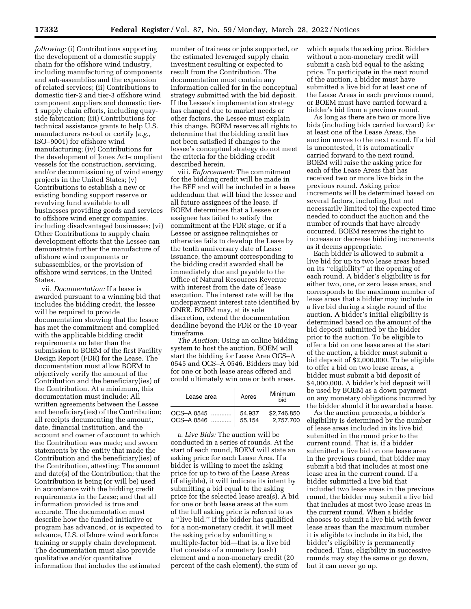*following:* (i) Contributions supporting the development of a domestic supply chain for the offshore wind industry, including manufacturing of components and sub-assemblies and the expansion of related services; (ii) Contributions to domestic tier-2 and tier-3 offshore wind component suppliers and domestic tier-1 supply chain efforts, including quayside fabrication; (iii) Contributions for technical assistance grants to help U.S. manufacturers re-tool or certify (*e.g.,*  ISO–9001) for offshore wind manufacturing; (iv) Contributions for the development of Jones Act-compliant vessels for the construction, servicing, and/or decommissioning of wind energy projects in the United States; (v) Contributions to establish a new or existing bonding support reserve or revolving fund available to all businesses providing goods and services to offshore wind energy companies, including disadvantaged businesses; (vi) Other Contributions to supply chain development efforts that the Lessee can demonstrate further the manufacture of offshore wind components or subassemblies, or the provision of offshore wind services, in the United States.

vii. *Documentation:* If a lease is awarded pursuant to a winning bid that includes the bidding credit, the lessee will be required to provide documentation showing that the lessee has met the commitment and complied with the applicable bidding credit requirements no later than the submission to BOEM of the first Facility Design Report (FDR) for the Lease. The documentation must allow BOEM to objectively verify the amount of the Contribution and the beneficiary(ies) of the Contribution. At a minimum, this documentation must include: All written agreements between the Lessee and beneficiary(ies) of the Contribution; all receipts documenting the amount, date, financial institution, and the account and owner of account to which the Contribution was made; and sworn statements by the entity that made the Contribution and the beneficiary(ies) of the Contribution, attesting: The amount and date(s) of the Contribution; that the Contribution is being (or will be) used in accordance with the bidding credit requirements in the Lease; and that all information provided is true and accurate. The documentation must describe how the funded initiative or program has advanced, or is expected to advance, U.S. offshore wind workforce training or supply chain development. The documentation must also provide qualitative and/or quantitative information that includes the estimated

number of trainees or jobs supported, or the estimated leveraged supply chain investment resulting or expected to result from the Contribution. The documentation must contain any information called for in the conceptual strategy submitted with the bid deposit. If the Lessee's implementation strategy has changed due to market needs or other factors, the Lessee must explain this change. BOEM reserves all rights to determine that the bidding credit has not been satisfied if changes to the lessee's conceptual strategy do not meet the criteria for the bidding credit described herein.

viii. *Enforcement:* The commitment for the bidding credit will be made in the BFF and will be included in a lease addendum that will bind the lessee and all future assignees of the lease. If BOEM determines that a Lessee or assignee has failed to satisfy the commitment at the FDR stage, or if a Lessee or assignee relinquishes or otherwise fails to develop the Lease by the tenth anniversary date of Lease issuance, the amount corresponding to the bidding credit awarded shall be immediately due and payable to the Office of Natural Resources Revenue with interest from the date of lease execution. The interest rate will be the underpayment interest rate identified by ONRR. BOEM may, at its sole discretion, extend the documentation deadline beyond the FDR or the 10-year timeframe.

*The Auction:* Using an online bidding system to host the auction, BOEM will start the bidding for Lease Area OCS–A 0545 and OCS–A 0546. Bidders may bid for one or both lease areas offered and could ultimately win one or both areas.

| Lease area | Acres  | Minimum<br>hid |
|------------|--------|----------------|
| OCS-A 0545 | 54.937 | \$2.746.850    |
| OCS-A 0546 | 55,154 | 2.757.700      |

a. *Live Bids:* The auction will be conducted in a series of rounds. At the start of each round, BOEM will state an asking price for each Lease Area. If a bidder is willing to meet the asking price for up to two of the Lease Areas (if eligible), it will indicate its intent by submitting a bid equal to the asking price for the selected lease area(s). A bid for one or both lease areas at the sum of the full asking price is referred to as a ''live bid.'' If the bidder has qualified for a non-monetary credit, it will meet the asking price by submitting a multiple-factor bid—that is, a live bid that consists of a monetary (cash) element and a non-monetary credit (20 percent of the cash element), the sum of

which equals the asking price. Bidders without a non-monetary credit will submit a cash bid equal to the asking price. To participate in the next round of the auction, a bidder must have submitted a live bid for at least one of the Lease Areas in each previous round, or BOEM must have carried forward a bidder's bid from a previous round.

As long as there are two or more live bids (including bids carried forward) for at least one of the Lease Areas, the auction moves to the next round. If a bid is uncontested, it is automatically carried forward to the next round. BOEM will raise the asking price for each of the Lease Areas that has received two or more live bids in the previous round. Asking price increments will be determined based on several factors, including (but not necessarily limited to) the expected time needed to conduct the auction and the number of rounds that have already occurred. BOEM reserves the right to increase or decrease bidding increments as it deems appropriate.

Each bidder is allowed to submit a live bid for up to two lease areas based on its ''eligibility'' at the opening of each round. A bidder's eligibility is for either two, one, or zero lease areas, and corresponds to the maximum number of lease areas that a bidder may include in a live bid during a single round of the auction. A bidder's initial eligibility is determined based on the amount of the bid deposit submitted by the bidder prior to the auction. To be eligible to offer a bid on one lease area at the start of the auction, a bidder must submit a bid deposit of \$2,000,000. To be eligible to offer a bid on two lease areas, a bidder must submit a bid deposit of \$4,000,000. A bidder's bid deposit will be used by BOEM as a down payment on any monetary obligations incurred by the bidder should it be awarded a lease.

As the auction proceeds, a bidder's eligibility is determined by the number of lease areas included in its live bid submitted in the round prior to the current round. That is, if a bidder submitted a live bid on one lease area in the previous round, that bidder may submit a bid that includes at most one lease area in the current round. If a bidder submitted a live bid that included two lease areas in the previous round, the bidder may submit a live bid that includes at most two lease areas in the current round. When a bidder chooses to submit a live bid with fewer lease areas than the maximum number it is eligible to include in its bid, the bidder's eligibility is permanently reduced. Thus, eligibility in successive rounds may stay the same or go down, but it can never go up.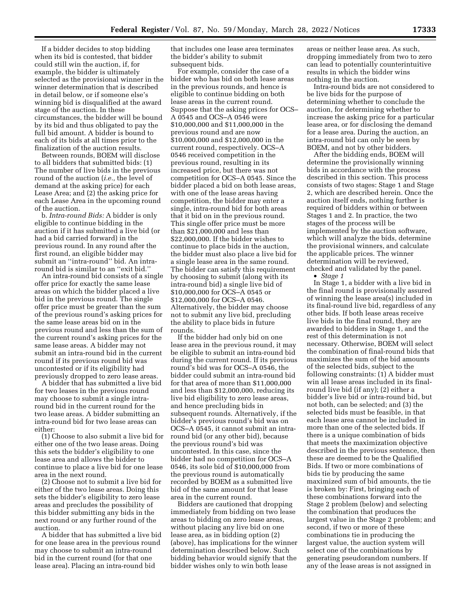If a bidder decides to stop bidding when its bid is contested, that bidder could still win the auction, if, for example, the bidder is ultimately selected as the provisional winner in the winner determination that is described in detail below, or if someone else's winning bid is disqualified at the award stage of the auction. In these circumstances, the bidder will be bound by its bid and thus obligated to pay the full bid amount. A bidder is bound to each of its bids at all times prior to the finalization of the auction results.

Between rounds, BOEM will disclose to all bidders that submitted bids: (1) The number of live bids in the previous round of the auction (*i.e.,* the level of demand at the asking price) for each Lease Area; and (2) the asking price for each Lease Area in the upcoming round of the auction.

b. *Intra-round Bids:* A bidder is only eligible to continue bidding in the auction if it has submitted a live bid (or had a bid carried forward) in the previous round. In any round after the first round, an eligible bidder may submit an ''intra-round'' bid. An intraround bid is similar to an ''exit bid.''

An intra-round bid consists of a single offer price for exactly the same lease areas on which the bidder placed a live bid in the previous round. The single offer price must be greater than the sum of the previous round's asking prices for the same lease areas bid on in the previous round and less than the sum of the current round's asking prices for the same lease areas. A bidder may not submit an intra-round bid in the current round if its previous round bid was uncontested or if its eligibility had previously dropped to zero lease areas.

A bidder that has submitted a live bid for two leases in the previous round may choose to submit a single intraround bid in the current round for the two lease areas. A bidder submitting an intra-round bid for two lease areas can either:

(1) Choose to also submit a live bid for either one of the two lease areas. Doing this sets the bidder's eligibility to one lease area and allows the bidder to continue to place a live bid for one lease area in the next round.

(2) Choose not to submit a live bid for either of the two lease areas. Doing this sets the bidder's eligibility to zero lease areas and precludes the possibility of this bidder submitting any bids in the next round or any further round of the auction.

A bidder that has submitted a live bid for one lease area in the previous round may choose to submit an intra-round bid in the current round (for that one lease area). Placing an intra-round bid

that includes one lease area terminates the bidder's ability to submit subsequent bids.

For example, consider the case of a bidder who has bid on both lease areas in the previous rounds, and hence is eligible to continue bidding on both lease areas in the current round. Suppose that the asking prices for OCS– A 0545 and OCS–A 0546 were \$10,000,000 and \$11,000,000 in the previous round and are now \$10,000,000 and \$12,000,000 in the current round, respectively. OCS–A 0546 received competition in the previous round, resulting in its increased price, but there was not competition for OCS–A 0545. Since the bidder placed a bid on both lease areas, with one of the lease areas having competition, the bidder may enter a single, intra-round bid for both areas that it bid on in the previous round. This single offer price must be more than \$21,000,000 and less than \$22,000,000. If the bidder wishes to continue to place bids in the auction, the bidder must also place a live bid for a single lease area in the same round. The bidder can satisfy this requirement by choosing to submit (along with its intra-round bid) a single live bid of \$10,000,000 for OCS–A 0545 or \$12,000,000 for OCS–A 0546. Alternatively, the bidder may choose not to submit any live bid, precluding the ability to place bids in future rounds.

If the bidder had only bid on one lease area in the previous round, it may be eligible to submit an intra-round bid during the current round. If its previous round's bid was for OCS–A 0546, the bidder could submit an intra-round bid for that area of more than \$11,000,000 and less than \$12,000,000, reducing its live bid eligibility to zero lease areas, and hence precluding bids in subsequent rounds. Alternatively, if the bidder's previous round's bid was on OCS–A 0545, it cannot submit an intraround bid (or any other bid), because the previous round's bid was uncontested. In this case, since the bidder had no competition for OCS–A 0546, its sole bid of \$10,000,000 from the previous round is automatically recorded by BOEM as a submitted live bid of the same amount for that lease area in the current round.

Bidders are cautioned that dropping immediately from bidding on two lease areas to bidding on zero lease areas, without placing any live bid on one lease area, as in bidding option (2) (above), has implications for the winner determination described below. Such bidding behavior would signify that the bidder wishes only to win both lease

areas or neither lease area. As such, dropping immediately from two to zero can lead to potentially counterintuitive results in which the bidder wins nothing in the auction.

Intra-round bids are not considered to be live bids for the purpose of determining whether to conclude the auction, for determining whether to increase the asking price for a particular lease area, or for disclosing the demand for a lease area. During the auction, an intra-round bid can only be seen by BOEM, and not by other bidders.

After the bidding ends, BOEM will determine the provisionally winning bids in accordance with the process described in this section. This process consists of two stages: Stage 1 and Stage 2, which are described herein. Once the auction itself ends, nothing further is required of bidders within or between Stages 1 and 2. In practice, the two stages of the process will be implemented by the auction software, which will analyze the bids, determine the provisional winners, and calculate the applicable prices. The winner determination will be reviewed, checked and validated by the panel.

• *Stage 1* 

In Stage 1, a bidder with a live bid in the final round is provisionally assured of winning the lease area(s) included in its final-round live bid, regardless of any other bids. If both lease areas receive live bids in the final round, they are awarded to bidders in Stage 1, and the rest of this determination is not necessary. Otherwise, BOEM will select the combination of final-round bids that maximizes the sum of the bid amounts of the selected bids, subject to the following constraints: (1) A bidder must win all lease areas included in its finalround live bid (if any); (2) either a bidder's live bid or intra-round bid, but not both, can be selected; and (3) the selected bids must be feasible, in that each lease area cannot be included in more than one of the selected bids. If there is a unique combination of bids that meets the maximization objective described in the previous sentence, then these are deemed to be the Qualified Bids. If two or more combinations of bids tie by producing the same maximized sum of bid amounts, the tie is broken by: First, bringing each of these combinations forward into the Stage 2 problem (below) and selecting the combination that produces the largest value in the Stage 2 problem; and second, if two or more of these combinations tie in producing the largest value, the auction system will select one of the combinations by generating pseudorandom numbers. If any of the lease areas is not assigned in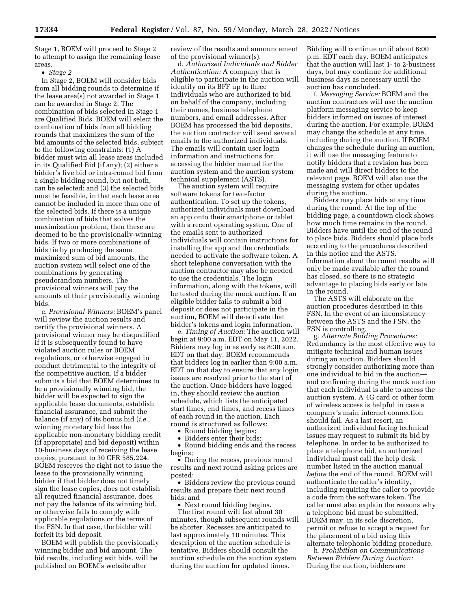Stage 1, BOEM will proceed to Stage 2 to attempt to assign the remaining lease areas.

• *Stage 2* 

In Stage 2, BOEM will consider bids from all bidding rounds to determine if the lease area(s) not awarded in Stage 1 can be awarded in Stage 2. The combination of bids selected in Stage 1 are Qualified Bids. BOEM will select the combination of bids from all bidding rounds that maximizes the sum of the bid amounts of the selected bids, subject to the following constraints: (1) A bidder must win all lease areas included in its Qualified Bid (if any); (2) either a bidder's live bid or intra-round bid from a single bidding round, but not both, can be selected; and (3) the selected bids must be feasible, in that each lease area cannot be included in more than one of the selected bids. If there is a unique combination of bids that solves the maximization problem, then these are deemed to be the provisionally-winning bids. If two or more combinations of bids tie by producing the same maximized sum of bid amounts, the auction system will select one of the combinations by generating pseudorandom numbers. The provisional winners will pay the amounts of their provisionally winning bids.

c. *Provisional Winners:* BOEM's panel will review the auction results and certify the provisional winners. A provisional winner may be disqualified if it is subsequently found to have violated auction rules or BOEM regulations, or otherwise engaged in conduct detrimental to the integrity of the competitive auction. If a bidder submits a bid that BOEM determines to be a provisionally winning bid, the bidder will be expected to sign the applicable lease documents, establish financial assurance, and submit the balance (if any) of its bonus bid (*i.e.,*  winning monetary bid less the applicable non-monetary bidding credit (if appropriate) and bid deposit) within 10-business days of receiving the lease copies, pursuant to 30 CFR 585.224. BOEM reserves the right not to issue the lease to the provisionally winning bidder if that bidder does not timely sign the lease copies, does not establish all required financial assurance, does not pay the balance of its winning bid, or otherwise fails to comply with applicable regulations or the terms of the FSN. In that case, the bidder will forfeit its bid deposit.

BOEM will publish the provisionally winning bidder and bid amount. The bid results, including exit bids, will be published on BOEM's website after

review of the results and announcement of the provisional winner(s).

d. *Authorized Individuals and Bidder Authentication:* A company that is eligible to participate in the auction will identify on its BFF up to three individuals who are authorized to bid on behalf of the company, including their names, business telephone numbers, and email addresses. After BOEM has processed the bid deposits, the auction contractor will send several emails to the authorized individuals. The emails will contain user login information and instructions for accessing the bidder manual for the auction system and the auction system technical supplement (ASTS).

The auction system will require software tokens for two-factor authentication. To set up the tokens, authorized individuals must download an app onto their smartphone or tablet with a recent operating system. One of the emails sent to authorized individuals will contain instructions for installing the app and the credentials needed to activate the software token. A short telephone conversation with the auction contractor may also be needed to use the credentials. The login information, along with the tokens, will be tested during the mock auction. If an eligible bidder fails to submit a bid deposit or does not participate in the auction, BOEM will de-activate that bidder's tokens and login information.

e. *Timing of Auction:* The auction will begin at 9:00 a.m. EDT on May 11, 2022. Bidders may log in as early as 8:30 a.m. EDT on that day. BOEM recommends that bidders log in earlier than 9:00 a.m. EDT on that day to ensure that any login issues are resolved prior to the start of the auction. Once bidders have logged in, they should review the auction schedule, which lists the anticipated start times, end times, and recess times of each round in the auction. Each round is structured as follows:

• Round bidding begins;

• Bidders enter their bids;

• Round bidding ends and the recess begins;

• During the recess, previous round results and next round asking prices are posted;

• Bidders review the previous round results and prepare their next round bids; and

• Next round bidding begins.

The first round will last about 30 minutes, though subsequent rounds will be shorter. Recesses are anticipated to last approximately 10 minutes. This description of the auction schedule is tentative. Bidders should consult the auction schedule on the auction system during the auction for updated times.

Bidding will continue until about 6:00 p.m. EDT each day. BOEM anticipates that the auction will last 1- to 2-business days, but may continue for additional business days as necessary until the auction has concluded.

f. *Messaging Service:* BOEM and the auction contractors will use the auction platform messaging service to keep bidders informed on issues of interest during the auction. For example, BOEM may change the schedule at any time, including during the auction. If BOEM changes the schedule during an auction, it will use the messaging feature to notify bidders that a revision has been made and will direct bidders to the relevant page. BOEM will also use the messaging system for other updates during the auction.

Bidders may place bids at any time during the round. At the top of the bidding page, a countdown clock shows how much time remains in the round. Bidders have until the end of the round to place bids. Bidders should place bids according to the procedures described in this notice and the ASTS. Information about the round results will only be made available after the round has closed, so there is no strategic advantage to placing bids early or late in the round.

The ASTS will elaborate on the auction procedures described in this FSN. In the event of an inconsistency between the ASTS and the FSN, the FSN is controlling.

g. *Alternate Bidding Procedures:*  Redundancy is the most effective way to mitigate technical and human issues during an auction. Bidders should strongly consider authorizing more than one individual to bid in the auction and confirming during the mock auction that each individual is able to access the auction system. A 4G card or other form of wireless access is helpful in case a company's main internet connection should fail. As a last resort, an authorized individual facing technical issues may request to submit its bid by telephone. In order to be authorized to place a telephone bid, an authorized individual must call the help desk number listed in the auction manual *before* the end of the round. BOEM will authenticate the caller's identity, including requiring the caller to provide a code from the software token. The caller must also explain the reasons why a telephone bid must be submitted. BOEM may, in its sole discretion, permit or refuse to accept a request for the placement of a bid using this alternate telephonic bidding procedure.

h. *Prohibition on Communications Between Bidders During Auction:*  During the auction, bidders are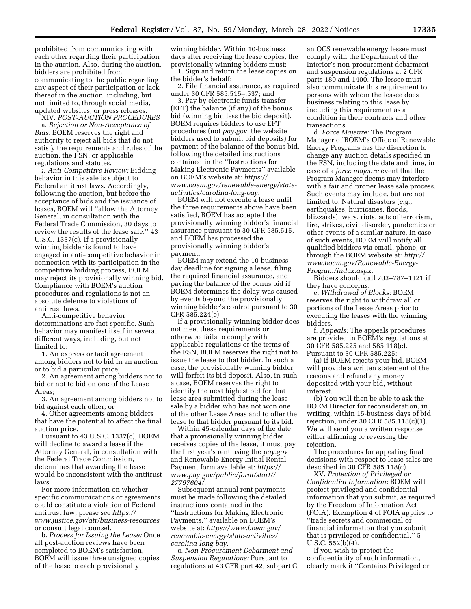prohibited from communicating with each other regarding their participation in the auction. Also, during the auction, bidders are prohibited from communicating to the public regarding any aspect of their participation or lack thereof in the auction, including, but not limited to, through social media, updated websites, or press releases.

XIV. *POST-AUCTION PROCEDURES*  a. *Rejection or Non-Acceptance of Bids:* BOEM reserves the right and authority to reject all bids that do not satisfy the requirements and rules of the auction, the FSN, or applicable regulations and statutes.

*i. Anti-Competitive Review:* Bidding behavior in this sale is subject to Federal antitrust laws. Accordingly, following the auction, but before the acceptance of bids and the issuance of leases, BOEM will ''allow the Attorney General, in consultation with the Federal Trade Commission, 30 days to review the results of the lease sale.'' 43 U.S.C. 1337(c). If a provisionally winning bidder is found to have engaged in anti-competitive behavior in connection with its participation in the competitive bidding process, BOEM may reject its provisionally winning bid. Compliance with BOEM's auction procedures and regulations is not an absolute defense to violations of antitrust laws.

Anti-competitive behavior determinations are fact-specific. Such behavior may manifest itself in several different ways, including, but not limited to:

1. An express or tacit agreement among bidders not to bid in an auction or to bid a particular price;

2. An agreement among bidders not to bid or not to bid on one of the Lease Areas;

3. An agreement among bidders not to bid against each other; or

4. Other agreements among bidders that have the potential to affect the final auction price.

Pursuant to 43 U.S.C. 1337(c), BOEM will decline to award a lease if the Attorney General, in consultation with the Federal Trade Commission, determines that awarding the lease would be inconsistent with the antitrust laws.

For more information on whether specific communications or agreements could constitute a violation of Federal antitrust law, please see *[https://](https://www.justice.gov/atr/business-resources) [www.justice.gov/atr/business-resources](https://www.justice.gov/atr/business-resources)*  or consult legal counsel.

b. *Process for Issuing the Lease:* Once all post-auction reviews have been completed to BOEM's satisfaction, BOEM will issue three unsigned copies of the lease to each provisionally

winning bidder. Within 10-business days after receiving the lease copies, the provisionally winning bidders must:

1. Sign and return the lease copies on the bidder's behalf;

2. File financial assurance, as required under 30 CFR 585.515–.537; and

3. Pay by electronic funds transfer (EFT) the balance (if any) of the bonus bid (winning bid less the bid deposit). BOEM requires bidders to use EFT procedures (not *pay.gov,* the website bidders used to submit bid deposits) for payment of the balance of the bonus bid, following the detailed instructions contained in the ''Instructions for Making Electronic Payments'' available on BOEM's website at: *[https://](https://www.boem.gov/renewable-energy/state-activities/carolina-long-bay) [www.boem.gov/renewable-energy/state](https://www.boem.gov/renewable-energy/state-activities/carolina-long-bay)[activities/carolina-long-bay.](https://www.boem.gov/renewable-energy/state-activities/carolina-long-bay)* 

BOEM will not execute a lease until the three requirements above have been satisfied, BOEM has accepted the provisionally winning bidder's financial assurance pursuant to 30 CFR 585.515, and BOEM has processed the provisionally winning bidder's payment.

BOEM may extend the 10-business day deadline for signing a lease, filing the required financial assurance, and paying the balance of the bonus bid if BOEM determines the delay was caused by events beyond the provisionally winning bidder's control pursuant to 30 CFR 585.224(e).

If a provisionally winning bidder does not meet these requirements or otherwise fails to comply with applicable regulations or the terms of the FSN, BOEM reserves the right not to issue the lease to that bidder. In such a case, the provisionally winning bidder will forfeit its bid deposit. Also, in such a case, BOEM reserves the right to identify the next highest bid for that lease area submitted during the lease sale by a bidder who has not won one of the other Lease Areas and to offer the lease to that bidder pursuant to its bid.

Within 45-calendar days of the date that a provisionally winning bidder receives copies of the lease, it must pay the first year's rent using the *pay.gov*  and Renewable Energy Initial Rental Payment form available at: *[https://](https://www.pay.gov/public/form/start//27797604/) [www.pay.gov/public/form/start//](https://www.pay.gov/public/form/start//27797604/) [27797604/.](https://www.pay.gov/public/form/start//27797604/)* 

Subsequent annual rent payments must be made following the detailed instructions contained in the ''Instructions for Making Electronic Payments,'' available on BOEM's website at: *[https://www.boem.gov/](https://www.boem.gov/renewable-energy/state-activities/carolina-long-bay)  [renewable-energy/state-activities/](https://www.boem.gov/renewable-energy/state-activities/carolina-long-bay) [carolina-long-bay.](https://www.boem.gov/renewable-energy/state-activities/carolina-long-bay)* 

c. *Non-Procurement Debarment and Suspension Regulations:* Pursuant to regulations at 43 CFR part 42, subpart C, an OCS renewable energy lessee must comply with the Department of the Interior's non-procurement debarment and suspension regulations at 2 CFR parts 180 and 1400. The lessee must also communicate this requirement to persons with whom the lessee does business relating to this lease by including this requirement as a condition in their contracts and other transactions.

d. *Force Majeure:* The Program Manager of BOEM's Office of Renewable Energy Programs has the discretion to change any auction details specified in the FSN, including the date and time, in case of a *force majeure* event that the Program Manager deems may interfere with a fair and proper lease sale process. Such events may include, but are not limited to: Natural disasters (*e.g.,*  earthquakes, hurricanes, floods, blizzards), wars, riots, acts of terrorism, fire, strikes, civil disorder, pandemics or other events of a similar nature. In case of such events, BOEM will notify all qualified bidders via email, phone, or through the BOEM website at: *[http://](http://www.boem.gov/Renewable-Energy-Program/index.aspx) [www.boem.gov/Renewable-Energy-](http://www.boem.gov/Renewable-Energy-Program/index.aspx)[Program/index.aspx.](http://www.boem.gov/Renewable-Energy-Program/index.aspx)* 

Bidders should call 703–787–1121 if they have concerns.

e. *Withdrawal of Blocks:* BOEM reserves the right to withdraw all or portions of the Lease Areas prior to executing the leases with the winning bidders.

f. *Appeals:* The appeals procedures are provided in BOEM's regulations at 30 CFR 585.225 and 585.118(c). Pursuant to 30 CFR 585.225:

(a) If BOEM rejects your bid, BOEM will provide a written statement of the reasons and refund any money deposited with your bid, without interest.

(b) You will then be able to ask the BOEM Director for reconsideration, in writing, within 15-business days of bid rejection, under 30 CFR 585.118(c)(1). We will send you a written response either affirming or reversing the rejection.

The procedures for appealing final decisions with respect to lease sales are described in 30 CFR 585.118(c).

XV. *Protection of Privileged or Confidential Information:* BOEM will protect privileged and confidential information that you submit, as required by the Freedom of Information Act (FOIA). Exemption 4 of FOIA applies to ''trade secrets and commercial or financial information that you submit that is privileged or confidential.'' 5 U.S.C. 552(b)(4).

If you wish to protect the confidentiality of such information, clearly mark it ''Contains Privileged or